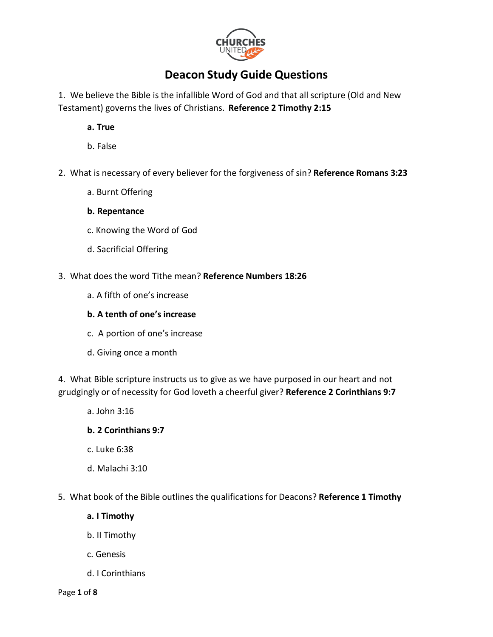

# **Deacon Study Guide Questions**

1. We believe the Bible is the infallible Word of God and that all scripture (Old and New Testament) governs the lives of Christians. **Reference 2 Timothy 2:15**

**a. True**

- b. False
- 2. What is necessary of every believer for the forgiveness of sin? **Reference Romans 3:23**
	- a. Burnt Offering
	- **b. Repentance**
	- c. Knowing the Word of God
	- d. Sacrificial Offering
- 3. What does the word Tithe mean? **Reference Numbers 18:26**
	- a. A fifth of one's increase

### **b. A tenth of one's increase**

- c. A portion of one's increase
- d. Giving once a month

4. What Bible scripture instructs us to give as we have purposed in our heart and not grudgingly or of necessity for God loveth a cheerful giver? **Reference 2 Corinthians 9:7**

a. John 3:16

### **b. 2 Corinthians 9:7**

- c. Luke 6:38
- d. Malachi 3:10
- 5. What book of the Bible outlines the qualifications for Deacons? **Reference 1 Timothy**
	- **a. I Timothy**
	- b. II Timothy
	- c. Genesis
	- d. I Corinthians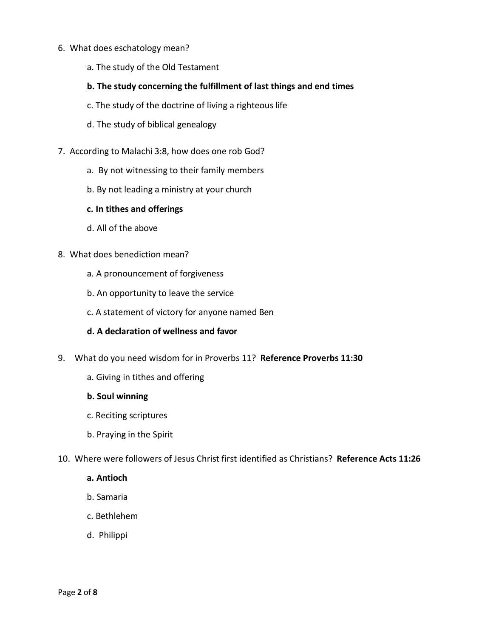- 6. What does eschatology mean?
	- a. The study of the Old Testament
	- **b. The study concerning the fulfillment of last things and end times**
	- c. The study of the doctrine of living a righteous life
	- d. The study of biblical genealogy
- 7. According to Malachi 3:8, how does one rob God?
	- a. By not witnessing to their family members
	- b. By not leading a ministry at your church
	- **c. In tithes and offerings**
	- d. All of the above
- 8. What does benediction mean?
	- a. A pronouncement of forgiveness
	- b. An opportunity to leave the service
	- c. A statement of victory for anyone named Ben
	- **d. A declaration of wellness and favor**
- 9. What do you need wisdom for in Proverbs 11? **Reference Proverbs 11:30**
	- a. Giving in tithes and offering
	- **b. Soul winning**
	- c. Reciting scriptures
	- b. Praying in the Spirit
- 10. Where were followers of Jesus Christ first identified as Christians? **Reference Acts 11:26**
	- **a. Antioch**
	- b. Samaria
	- c. Bethlehem
	- d. Philippi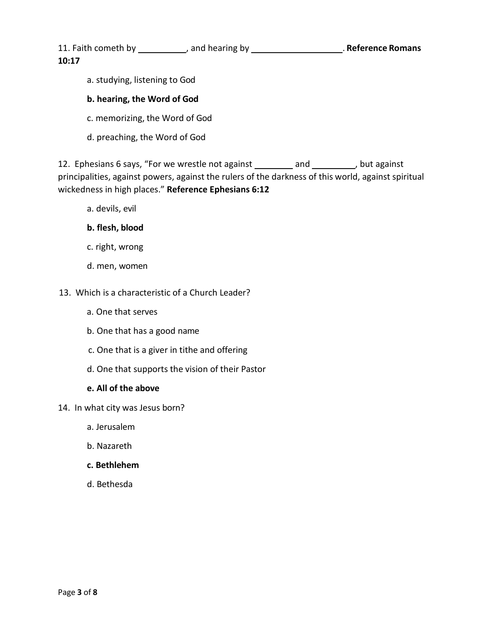11. Faith cometh by \_\_\_\_\_\_\_\_\_\_, and hearing by \_\_\_\_\_\_\_\_\_\_\_\_\_\_\_\_\_\_\_\_\_\_. Reference Romans **10:17**

a. studying, listening to God

## **b. hearing, the Word of God**

- c. memorizing, the Word of God
- d. preaching, the Word of God

12. Ephesians 6 says, "For we wrestle not against \_\_\_\_\_\_\_\_ and \_\_\_\_\_\_\_\_\_, but against principalities, against powers, against the rulers of the darkness of this world, against spiritual wickedness in high places." **Reference Ephesians 6:12**

a. devils, evil

### **b. flesh, blood**

- c. right, wrong
- d. men, women

### 13. Which is a characteristic of a Church Leader?

- a. One that serves
- b. One that has a good name
- c. One that is a giver in tithe and offering
- d. One that supports the vision of their Pastor

#### **e. All of the above**

- 14. In what city was Jesus born?
	- a. Jerusalem
	- b. Nazareth
	- **c. Bethlehem**
	- d. Bethesda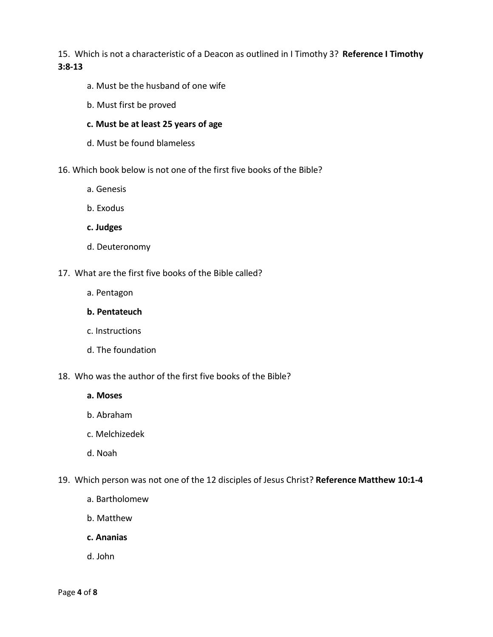15. Which is not a characteristic of a Deacon as outlined in I Timothy 3? **Reference I Timothy 3:8-13**

- a. Must be the husband of one wife
- b. Must first be proved
- **c. Must be at least 25 years of age**
- d. Must be found blameless
- 16. Which book below is not one of the first five books of the Bible?
	- a. Genesis
	- b. Exodus
	- **c. Judges**
	- d. Deuteronomy
- 17. What are the first five books of the Bible called?
	- a. Pentagon
	- **b. Pentateuch**
	- c. Instructions
	- d. The foundation
- 18. Who was the author of the first five books of the Bible?
	- **a. Moses**
	- b. Abraham
	- c. Melchizedek
	- d. Noah
- 19. Which person was not one of the 12 disciples of Jesus Christ? **Reference Matthew 10:1-4**
	- a. Bartholomew
	- b. Matthew
	- **c. Ananias**
	- d. John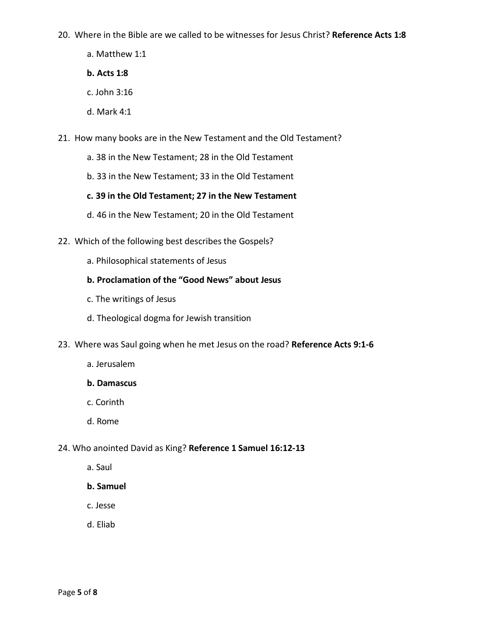20. Where in the Bible are we called to be witnesses for Jesus Christ? **Reference Acts 1:8**

- a. Matthew 1:1
- **b. Acts 1:8**
- c. John 3:16
- d. Mark 4:1
- 21. How many books are in the New Testament and the Old Testament?
	- a. 38 in the New Testament; 28 in the Old Testament
	- b. 33 in the New Testament; 33 in the Old Testament

### **c. 39 in the Old Testament; 27 in the New Testament**

- d. 46 in the New Testament; 20 in the Old Testament
- 22. Which of the following best describes the Gospels?
	- a. Philosophical statements of Jesus

# **b. Proclamation of the "Good News" about Jesus**

- c. The writings of Jesus
- d. Theological dogma for Jewish transition
- 23. Where was Saul going when he met Jesus on the road? **Reference Acts 9:1-6**
	- a. Jerusalem
	- **b. Damascus**
	- c. Corinth
	- d. Rome

### 24. Who anointed David as King? **Reference 1 Samuel 16:12-13**

a. Saul

### **b. Samuel**

- c. Jesse
- d. Eliab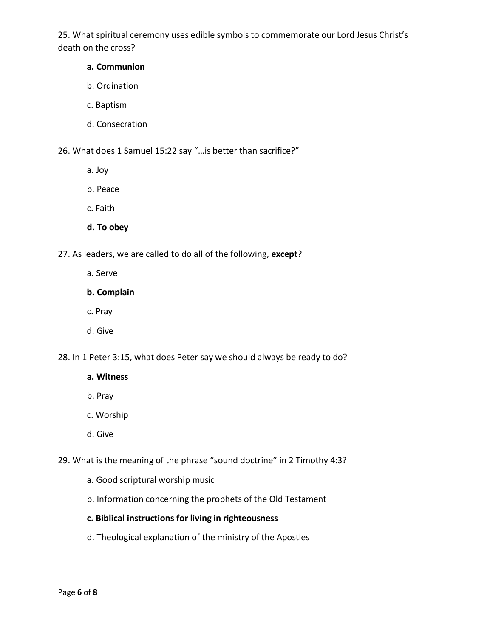25. What spiritual ceremony uses edible symbols to commemorate our Lord Jesus Christ's death on the cross?

### **a. Communion**

- b. Ordination
- c. Baptism
- d. Consecration

26. What does 1 Samuel 15:22 say "…is better than sacrifice?"

- a. Joy
- b. Peace
- c. Faith
- **d. To obey**

27. As leaders, we are called to do all of the following, **except**?

- a. Serve
- **b. Complain**
- c. Pray
- d. Give

28. In 1 Peter 3:15, what does Peter say we should always be ready to do?

- **a. Witness**
- b. Pray
- c. Worship
- d. Give

29. What is the meaning of the phrase "sound doctrine" in 2 Timothy 4:3?

- a. Good scriptural worship music
- b. Information concerning the prophets of the Old Testament

### **c. Biblical instructions for living in righteousness**

d. Theological explanation of the ministry of the Apostles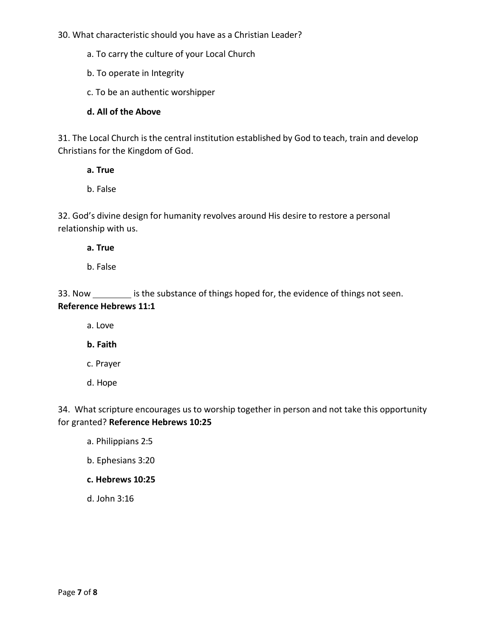30. What characteristic should you have as a Christian Leader?

a. To carry the culture of your Local Church

b. To operate in Integrity

c. To be an authentic worshipper

**d. All of the Above**

31. The Local Church is the central institution established by God to teach, train and develop Christians for the Kingdom of God.

**a. True**

b. False

32. God's divine design for humanity revolves around His desire to restore a personal relationship with us.

**a. True**

b. False

33. Now \_\_\_\_\_\_\_\_\_ is the substance of things hoped for, the evidence of things not seen. **Reference Hebrews 11:1**

a. Love

**b. Faith**

c. Prayer

d. Hope

34. What scripture encourages us to worship together in person and not take this opportunity for granted? **Reference Hebrews 10:25**

a. Philippians 2:5

b. Ephesians 3:20

### **c. Hebrews 10:25**

d. John 3:16